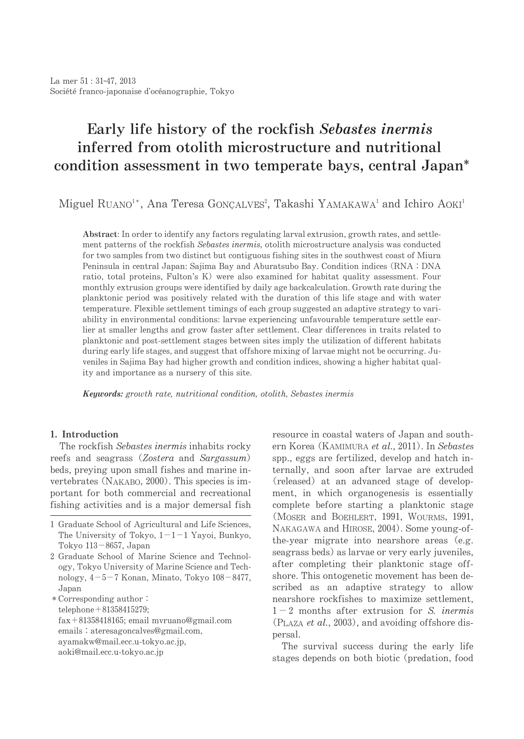# Early life history of the rockfish Sebastes inermis inferred from otolith microstructure and nutritional condition assessment in two temperate bays, central Japan<sup>\*</sup>

Miguel RUANO<sup>1</sup>\*, Ana Teresa GONÇALVES<sup>2</sup>, Takashi YAMAKAWA<sup>1</sup> and Ichiro AOKI<sup>1</sup>

Abstract: In order to identify any factors regulating larval extrusion, growth rates, and settlement patterns of the rockfish Sebastes inermis, otolith microstructure analysis was conducted for two samples from two distinct but contiguous fishing sites in the southwest coast of Miura Peninsula in central Japan: Sajima Bay and Aburatsubo Bay. Condition indices (RNA: DNA ratio, total proteins, Fulton's K) were also examined for habitat quality assessment. Four monthly extrusion groups were identified by daily age backcalculation. Growth rate during the planktonic period was positively related with the duration of this life stage and with water temperature. Flexible settlement timings of each group suggested an adaptive strategy to variability in environmental conditions: larvae experiencing unfavourable temperature settle earlier at smaller lengths and grow faster after settlement. Clear differences in traits related to planktonic and post-settlement stages between sites imply the utilization of different habitats during early life stages, and suggest that offshore mixing of larvae might not be occurring. Juveniles in Sajima Bay had higher growth and condition indices, showing a higher habitat quality and importance as a nursery of this site.

Keywords: growth rate, nutritional condition, otolith, Sebastes inermis

# 1.Introduction

The rockfish Sebastes inermis inhabits rocky reefs and seagrass (Zostera and Sargassum) beds, preying upon small fishes and marine invertebrates (NAKABO, 2000). This species is important for both commercial and recreational fishing activities and is a major demersal fish

\* Corresponding author: telephone+81358415279;  $fax+81358418165$ ; email mvruano@gmail.com emails: ateresagoncalves@gmail.com, ayamakw@mail.ecc.u-tokyo.ac.jp, aoki@mail.ecc.u-tokyo.ac.jp

resource in coastal waters of Japan and southern Korea (KAMIMURA et al., 2011). In Sebastes spp., eggs are fertilized, develop and hatch internally, and soon after larvae are extruded (released) at an advanced stage of development, in which organogenesis is essentially complete before starting a planktonic stage (MOSER and BOEHLERT, 1991, WOURMS, 1991, NAKAGAWA and HIROSE, 2004). Some young-ofthe-year migrate into nearshore areas (e.g. seagrass beds) as larvae or very early juveniles, after completing their planktonic stage offshore. This ontogenetic movement has been described as an adaptive strategy to allow nearshore rockfishes to maximize settlement.  $1-2$  months after extrusion for S. *inermis* (PLAZA *et al.*, 2003), and avoiding offshore dispersal.

The survival success during the early life stages depends on both biotic (predation, food

<sup>1</sup> Graduate School of Agricultural and Life Sciences. The University of Tokyo,  $1-1-1$  Yayoi, Bunkyo, Tokyo 113-8657, Japan

<sup>2</sup> Graduate School of Marine Science and Technology, Tokyo University of Marine Science and Technology,  $4-5-7$  Konan, Minato, Tokyo  $108-8477$ , Japan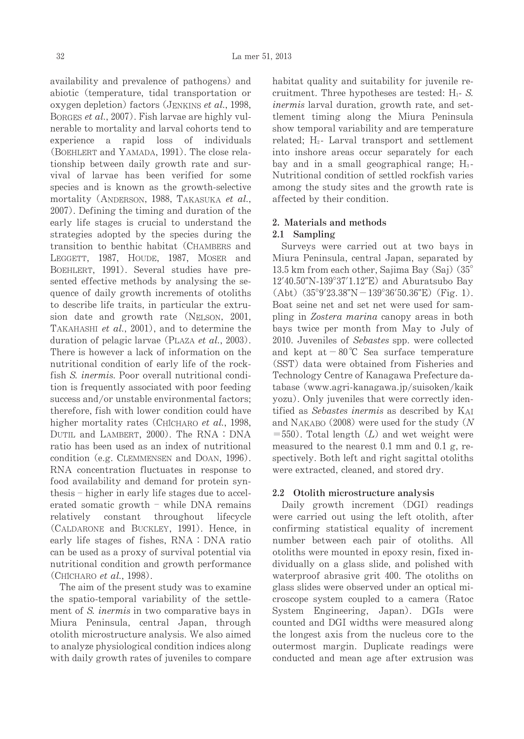availability and prevalence of pathogens) and abiotic (temperature, tidal transportation or oxygen depletion) factors (JENKINS et al., 1998, BORGES et al., 2007). Fish larvae are highly vulnerable to mortality and larval cohorts tend to experience a rapid loss of individuals (BOEHLERT and YAMADA, 1991). The close relationship between daily growth rate and survival of larvae has been verified for some species and is known as the growth-selective mortality (ANDERSON, 1988, TAKASUKA et al., 2007). Defining the timing and duration of the early life stages is crucial to understand the strategies adopted by the species during the transition to benthic habitat (CHAMBERS and LEGGETT, 1987, HOUDE, 1987, MOSER and BOEHLERT, 1991). Several studies have presented effective methods by analysing the sequence of daily growth increments of otoliths to describe life traits, in particular the extrusion date and growth rate (NELSON, 2001, TAKAHASHI et al., 2001), and to determine the duration of pelagic larvae (PLAZA et al., 2003). There is however a lack of information on the nutritional condition of early life of the rockfish S. *inermis*. Poor overall nutritional condition is frequently associated with poor feeding success and/or unstable environmental factors; therefore, fish with lower condition could have higher mortality rates (CHICHARO et al., 1998, DUTIL and LAMBERT, 2000). The RNA: DNA ratio has been used as an index of nutritional condition (e.g. CLEMMENSEN and DOAN, 1996). RNA concentration fluctuates in response to food availability and demand for protein synthesis – higher in early life stages due to accelerated somatic growth - while DNA remains relatively constant throughout lifecycle (CALDARONE and BUCKLEY, 1991). Hence, in early life stages of fishes,  $RNA:DNA$  ratio can be used as a proxy of survival potential via nutritional condition and growth performance (Chícharo *et al.*, 1998).

The aim of the present study was to examine the spatio-temporal variability of the settlement of S. inermis in two comparative bays in Miura Peninsula, central Japan, through otolith microstructure analysis. We also aimed to analyze physiological condition indices along with daily growth rates of juveniles to compare habitat quality and suitability for juvenile recruitment. Three hypotheses are tested:  $H_1$ - S. inermis larval duration, growth rate, and settlement timing along the Miura Peninsula show temporal variability and are temperature related;  $H_2$ - Larval transport and settlement into inshore areas occur separately for each bay and in a small geographical range;  $H_3$ -Nutritional condition of settled rockfish varies among the study sites and the growth rate is affected by their condition.

# 2. Materials and methods

# 2.1 Sampling

Surveys were carried out at two bays in Miura Peninsula, central Japan, separated by 13.5 km from each other, Sajima Bay  $(Sai)$   $(35^\circ)$  $12'40.50''$ N-139°37'1.12"E) and Aburatsubo Bay  $(Abt)(35°9'23.38"N-139°36'50.36"E)(Fig. 1).$ Boat seine net and set net were used for sampling in Zostera marina canopy areas in both bays twice per month from May to July of 2010. Juveniles of Sebastes spp. were collected and kept at  $-80^{\circ}$ C Sea surface temperature (SST) data were obtained from Fisheries and Technology Centre of Kanagawa Prefecture database(www.agri-kanagawa.jp/suisoken/kaik yozu). Only juveniles that were correctly identified as Sebastes inermis as described by KAI and NAKABO (2008) were used for the study  $(N)$  $=550$ ). Total length (L) and wet weight were measured to the nearest 0.1 mm and 0.1 g, respectively. Both left and right sagittal otoliths were extracted, cleaned, and stored dry.

# 2.2 Otolith microstructure analysis

Daily growth increment (DGI) readings were carried out using the left otolith, after confirming statistical equality of increment number between each pair of otoliths. All otoliths were mounted in epoxy resin, fixed individually on a glass slide, and polished with waterproof abrasive grit 400. The otoliths on glass slides were observed under an optical microscope system coupled to a camera (Ratoc System Engineering, Japan). DGIs were counted and DGI widths were measured along the longest axis from the nucleus core to the outermost margin. Duplicate readings were conducted and mean age after extrusion was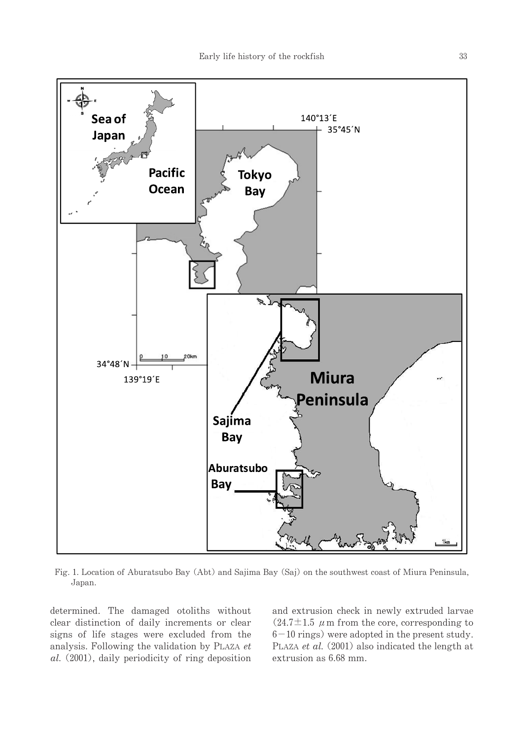

Fig. 1. Location of Aburatsubo Bay (Abt) and Sajima Bay (Saj) on the southwest coast of Miura Peninsula, Japan.

determined. The damaged otoliths without clear distinction of daily increments or clear signs of life stages were excluded from the analysis. Following the validation by PLAZA  $et$  $al.$  (2001), daily periodicity of ring deposition

and extrusion check in newly extruded larvae  $(24.7 \pm 1.5 \mu \text{m} \text{ from the core, corresponding to})$  $6-10$  rings) were adopted in the present study. PLAZA et al.  $(2001)$  also indicated the length at extrusion as 6.68 mm.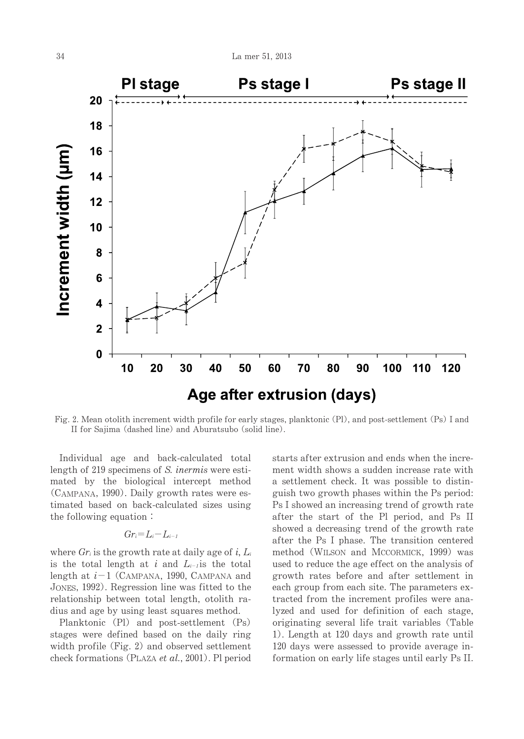

Fig. 2. Mean otolith increment width profile for early stages, planktonic (Pl), and post-settlement (Ps) I and II for Sajima (dashed line) and Aburatsubo (solid line).

Individual age and back-calculated total length of 219 specimens of S. *inermis* were estimated by the biological intercept method (CAMPANA, 1990). Daily growth rates were estimated based on back-calculated sizes using the following equation:

# $Gr_i=L_i-L_{i-1}$

where  $Gr_i$  is the growth rate at daily age of i,  $L_i$ is the total length at i and  $L_{i-1}$  is the total length at  $i-1$  (CAMPANA, 1990, CAMPANA and JONES, 1992). Regression line was fitted to the relationship between total length, otolith radius and age by using least squares method.

Planktonic (Pl) and post-settlement (Ps) stages were defined based on the daily ring width profile (Fig.  $2$ ) and observed settlement check formations (PLAZA *et al.*, 2001). Pl period starts after extrusion and ends when the increment width shows a sudden increase rate with a settlement check. It was possible to distinguish two growth phases within the Ps period: Ps I showed an increasing trend of growth rate after the start of the Pl period, and Ps II showed a decreasing trend of the growth rate after the Ps I phase. The transition centered method (WILSON and MCCORMICK, 1999) was used to reduce the age effect on the analysis of growth rates before and after settlement in each group from each site. The parameters extracted from the increment profiles were analyzed and used for definition of each stage, originating several life trait variables (Table 1). Length at 120 days and growth rate until 120 days were assessed to provide average information on early life stages until early Ps II.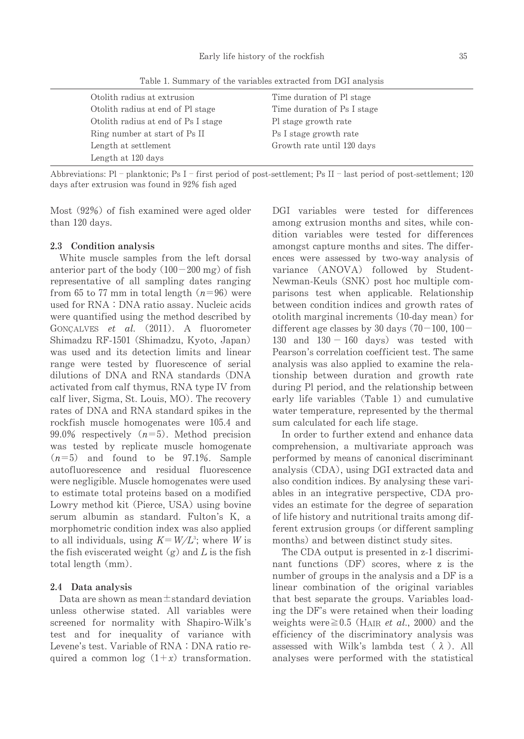Table 1. Summary of the variables extracted from DGI analysis

| Otolith radius at extrusion         | Time duration of Pl stage   |
|-------------------------------------|-----------------------------|
| Otolith radius at end of Pl stage   | Time duration of Ps I stage |
| Otolith radius at end of Ps I stage | Pl stage growth rate        |
| Ring number at start of Ps II       | Ps I stage growth rate      |
| Length at settlement                | Growth rate until 120 days  |
| Length at 120 days                  |                             |

Abbreviations: Pl - planktonic; Ps I - first period of post-settlement; Ps II - last period of post-settlement; 120 days after extrusion was found in 92% fish aged

Most  $(92%)$  of fish examined were aged older than 120 days.

#### 2.3 Condition analysis

White muscle samples from the left dorsal anterior part of the body  $(100-200 \text{ mg})$  of fish representative of all sampling dates ranging from 65 to 77 mm in total length  $(n=96)$  were used for RNA: DNA ratio assay. Nucleic acids were quantified using the method described by GONÇALVES et al. (2011). A fluorometer Shimadzu RF-1501 (Shimadzu, Kyoto, Japan) was used and its detection limits and linear range were tested by fluorescence of serial dilutions of DNA and RNA standards (DNA activated from calf thymus, RNA type IV from calf liver, Sigma, St. Louis, MO). The recovery rates of DNA and RNA standard spikes in the rockfish muscle homogenates were 105.4 and 99.0% respectively  $(n=5)$ . Method precision was tested by replicate muscle homogenate  $(n=5)$  and found to be 97.1%. Sample autofluorescence and residual fluorescence were negligible. Muscle homogenates were used to estimate total proteins based on a modified Lowry method kit (Pierce, USA) using bovine serum albumin as standard. Fulton's K, a morphometric condition index was also applied to all individuals, using  $K = W/L^3$ ; where W is the fish eviscerated weight  $(g)$  and L is the fish total length  $(mm)$ .

#### 2.4 Data analysis

Data are shown as mean $\pm$ standard deviation unless otherwise stated. All variables were screened for normality with Shapiro-Wilk・s test and for inequality of variance with Levene's test. Variable of RNA: DNA ratio required a common log  $(1+x)$  transformation. DGI variables were tested for differences among extrusion months and sites, while condition variables were tested for differences amongst capture months and sites. The differences were assessed by two-way analysis of variance (ANOVA) followed by Student-Newman-Keuls (SNK) post hoc multiple comparisons test when applicable. Relationship between condition indices and growth rates of otolith marginal increments (10-day mean) for different age classes by 30 days  $(70-100, 100-$ 130 and  $130 - 160$  days) was tested with Pearson's correlation coefficient test. The same analysis was also applied to examine the relationship between duration and growth rate during Pl period, and the relationship between early life variables (Table 1) and cumulative water temperature, represented by the thermal sum calculated for each life stage.

In order to further extend and enhance data comprehension, a multivariate approach was performed by means of canonical discriminant analysis (CDA), using DGI extracted data and also condition indices. By analysing these variables in an integrative perspective, CDA provides an estimate for the degree of separation of life history and nutritional traits among different extrusion groups (or different sampling months) and between distinct study sites.

The CDA output is presented in z-1 discriminant functions  $(DF)$  scores, where z is the number of groups in the analysis and a DF is a linear combination of the original variables that best separate the groups. Variables loading the DF's were retained when their loading weights were  $\geq 0.5$  (HAIR *et al.*, 2000) and the efficiency of the discriminatory analysis was assessed with Wilk's lambda test  $(\lambda)$ . All analyses were performed with the statistical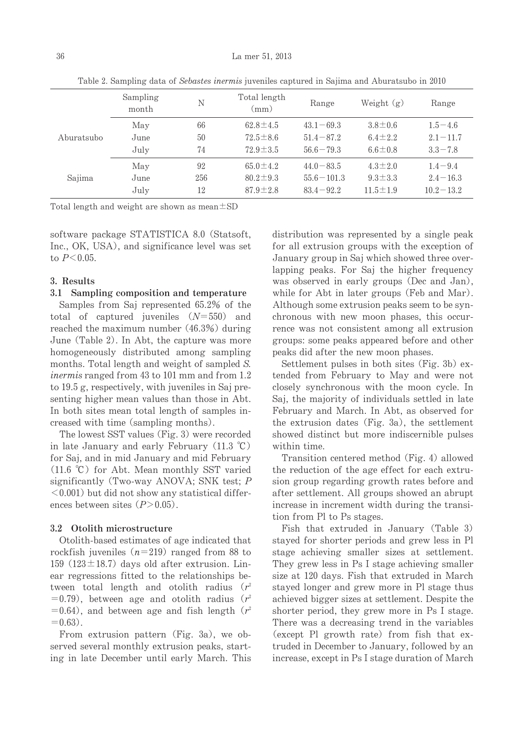|                                   | Sampling<br>month | N              | Total length<br>(mm) | Range         | Weight $(g)$   | Range         |
|-----------------------------------|-------------------|----------------|----------------------|---------------|----------------|---------------|
| May<br>Aburatsubo<br>June<br>July | 66                | $62.8 \pm 4.5$ | $43.1 - 69.3$        | $3.8 \pm 0.6$ | $1.5 - 4.6$    |               |
|                                   | 50                | $72.5 \pm 8.6$ | $51.4 - 87.2$        | $6.4 \pm 2.2$ | $2.1 - 11.7$   |               |
|                                   | 74                | $72.9 \pm 3.5$ | $56.6 - 79.3$        | $6.6 \pm 0.8$ | $3.3 - 7.8$    |               |
| May<br>Sajima<br>June<br>July     | 92                | $65.0 \pm 4.2$ | $44.0 - 83.5$        | $4.3 \pm 2.0$ | $1.4 - 9.4$    |               |
|                                   | 256               | $80.2 \pm 9.3$ | $55.6 - 101.3$       | $9.3 \pm 3.3$ | $2.4 - 16.3$   |               |
|                                   |                   | 12             | $87.9 \pm 2.8$       | $83.4 - 92.2$ | $11.5 \pm 1.9$ | $10.2 - 13.2$ |

Table 2. Sampling data of Sebastes inermis juveniles captured in Sajima and Aburatsubo in 2010

Total length and weight are shown as mean $\pm$ SD

software package STATISTICA 8.0 (Statsoft, Inc., OK, USA), and significance level was set to  $P < 0.05$ .

## 3.Results

## 3.1 Sampling composition and temperature

Samples from Saj represented 65.2% of the total of captured juveniles  $(N=550)$  and reached the maximum number  $(46.3%)$  during June (Table 2). In Abt, the capture was more homogeneously distributed among sampling months. Total length and weight of sampled S. inermis ranged from  $43$  to 101 mm and from 1.2 to  $19.5$  g, respectively, with juveniles in Saj presenting higher mean values than those in Abt. In both sites mean total length of samples increased with time (sampling months).

The lowest SST values (Fig. 3) were recorded in late January and early February  $(11.3 °C)$ for Saj, and in mid January and mid February (11.6 °C) for Abt. Mean monthly SST varied significantly (Two-way ANOVA; SNK test;  $P$  $\leq$  0.001) but did not show any statistical differences between sites  $(P>0.05)$ .

#### 3.2 Otolith microstructure

Otolith-based estimates of age indicated that rockfish juveniles ( $n=219$ ) ranged from 88 to 159 (123 $\pm$ 18.7) days old after extrusion. Linear regressions fitted to the relationships between total length and otolith radius  $(r^2)$  $=0.79$ , between age and otolith radius (r<sup>2</sup>) =0.64), and between age and fish length ( $r^2$  $=0.63$ ).

From extrusion pattern (Fig. 3a), we observed several monthly extrusion peaks, starting in late December until early March. This distribution was represented by a single peak for all extrusion groups with the exception of January group in Saj which showed three overlapping peaks. For Saj the higher frequency was observed in early groups (Dec and Jan), while for Abt in later groups (Feb and Mar). Although some extrusion peaks seem to be synchronous with new moon phases, this occurrence was not consistent among all extrusion groups: some peaks appeared before and other peaks did after the new moon phases.

Settlement pulses in both sites (Fig. 3b)  $ex$ tended from February to May and were not closely synchronous with the moon cycle. In Saj, the majority of individuals settled in late February and March. In Abt, as observed for the extrusion dates (Fig. 3a), the settlement showed distinct but more indiscernible pulses within time.

Transition centered method (Fig. 4) allowed the reduction of the age effect for each extrusion group regarding growth rates before and after settlement. All groups showed an abrupt increase in increment width during the transition from Pl to Ps stages.

Fish that extruded in January (Table 3) stayed for shorter periods and grew less in Pl stage achieving smaller sizes at settlement. They grew less in Ps I stage achieving smaller size at 120 days. Fish that extruded in March stayed longer and grew more in Pl stage thus achieved bigger sizes at settlement. Despite the shorter period, they grew more in Ps I stage. There was a decreasing trend in the variables (except Pl growth rate) from fish that  $ex$ truded in December to January, followed by an increase, except in Ps I stage duration of March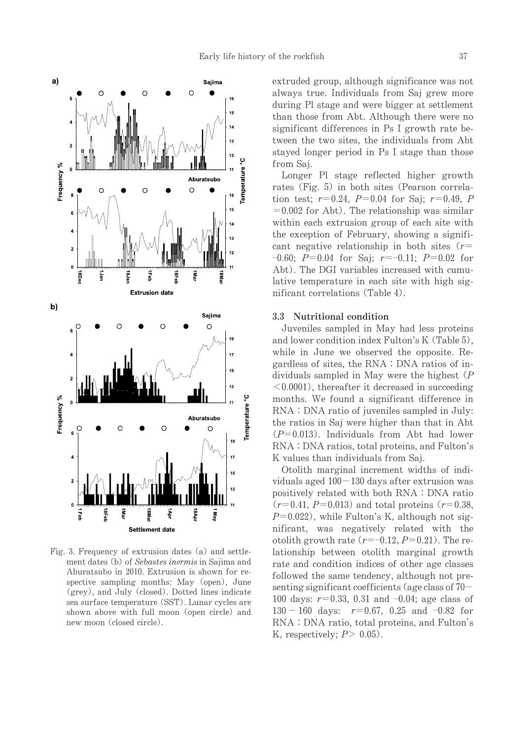

Fig. 3. Frequency of extrusion dates (a) and settlement dates (b) of Sebastes inermis in Sajima and Aburatsubo in 2010. Extrusion is shown for respective sampling months: May (open), June (grey), and July (closed). Dotted lines indicate sea surface temperature (SST). Lunar cycles are shown above with full moon (open circle) and new moon (closed circle).

extruded group, although significance was not always true. Individuals from Saj grew more during Pl stage and were bigger at settlement than those from Abt. Although there were no significant differences in Ps I growth rate between the two sites, the individuals from Abt stayed longer period in Ps I stage than those from Saj.

Longer Pl stage reflected higher growth rates (Fig. 5) in both sites (Pearson correlation test;  $r=0.24$ ,  $P=0.04$  for Saj;  $r=0.49$ , P  $=0.002$  for Abt). The relationship was similar within each extrusion group of each site with the exception of February, showing a significant negative relationship in both sites ( $r=$  $-0.60; P=0.04$  for Saj;  $r=-0.11; P=0.02$  for Abt). The DGI variables increased with cumulative temperature in each site with high significant correlations (Table 4).

#### 3.3 Nutritional condition

Juveniles sampled in May had less proteins and lower condition index Fulton's  $K(Table 5)$ , while in June we observed the opposite. Regardless of sites, the  $RNA:DNA$  ratios of individuals sampled in May were the highest  $(P)$  $\leq 0.0001$ , thereafter it decreased in succeeding months. We found a significant difference in  $RNA: DNA$  ratio of juveniles sampled in July: the ratios in Saj were higher than that in Abt  $(P=0.013)$ . Individuals from Abt had lower RNA: DNA ratios, total proteins, and Fulton's K values than individuals from Saj.

Otolith marginal increment widths of individuals aged  $100-130$  days after extrusion was positively related with both RNA: DNA ratio  $(r=0.41, P=0.013)$  and total proteins  $(r=0.38, P=0.013)$  $P=0.022$ , while Fulton's K, although not significant, was negatively related with the otolith growth rate  $(r=-0.12, P=0.21)$ . The relationship between otolith marginal growth rate and condition indices of other age classes followed the same tendency, although not presenting significant coefficients (age class of  $70-$ 100 days:  $r=0.33, 0.31$  and  $-0.04$ ; age class of  $130 - 160$  days:  $r=0.67$ , 0.25 and  $-0.82$  for RNA: DNA ratio, total proteins, and Fulton's K, respectively;  $P > 0.05$ ).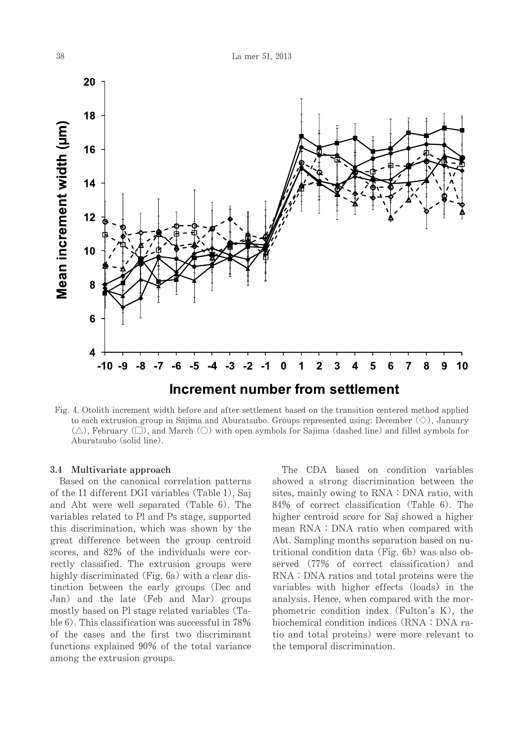

Fig. 4. Otolithincrement width before and after settlement based on the transition centered method applied to each extrusion group in Sajima and Aburatsubo. Groups represented using: December  $\langle \diamondsuit \rangle$ , January  $(\triangle)$ , February  $(\square)$ , and March  $(\square)$  with open symbols for Sajima (dashed line) and filled symbols for Aburatsubo (solid line).

#### 3.4 Multivariate approach

Based on the canonical correlation patterns of the 11 different DGI variables (Table 1), Saj and Abt were well separated (Table 6). The variables related to Pl and Ps stage, supported this discrimination, which was shown by the great difference between the group centroid scores, and 82% of the individuals were correctly classified. The extrusion groups were highly discriminated (Fig. 6a) with a clear distinction between the early groups (Dec and Jan) and the late (Feb and Mar) groups mostly based on Pl stage related variables (Table 6). This classification was successful in 78% of the cases and the first two discriminant functions explained 90% of the total variance among the extrusion groups.

The CDA based on condition variables showed a strong discrimination between the sites, mainly owing to RNA: DNA ratio, with 84% of correct classification (Table 6). The higher centroid score for Saj showed a higher mean RNA: DNA ratio when compared with Abt. Sampling months separation based on nutritional condition data (Fig. 6b) was also observed (77% of correct classification) and RNA: DNA ratios and total proteins were the variables with higher effects (loads) in the analysis. Hence, when compared with the morphometric condition index (Fulton's K), the biochemical condition indices (RNA: DNA ratio and total proteins) were more relevant to the temporal discrimination.

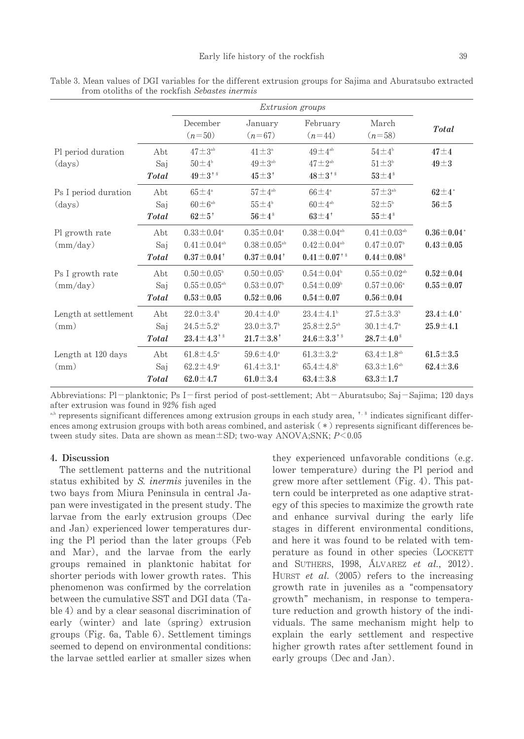|                      |              | <i>Extrusion groups</i>       |                               |                               |                               |                    |
|----------------------|--------------|-------------------------------|-------------------------------|-------------------------------|-------------------------------|--------------------|
|                      |              | December<br>$(n=50)$          | January<br>$(n=67)$           | February<br>$(n=44)$          | March<br>$(n=58)$             | <b>Total</b>       |
| Pl period duration   | Abt          | $47 \pm 3$ <sup>ab</sup>      | $41 \pm 3^{\circ}$            | $49 \pm 4^{ab}$               | $54\pm4^{\circ}$              | $47 \pm 4$         |
| $\rm (days)$         | Saj          | $50 \pm 4^{\circ}$            | $49 \pm 3^{ab}$               | $47 \pm 2^{ab}$               | $51 \pm 3b$                   | $49 \pm 3$         |
|                      | <b>Total</b> | $49\pm3$ <sup>+ \$</sup>      | $45 \pm 3^+$                  | $48\pm3$ <sup>† §</sup>       | $53 \pm 4$ <sup>\$</sup>      |                    |
| Ps I period duration | Abt          | $65 \pm 4^{\circ}$            | $57 \pm 4^{\rm ab}$           | $66\pm4^{\circ}$              | $57 \pm 3^{ab}$               | $62 \pm 4^*$       |
| (days)               | Saj          | $60\pm6^{\rm ab}$             | $55 \pm 4^{\circ}$            | $60\pm4^{ab}$                 | $52 \pm 5^{\circ}$            | $56 \pm 5$         |
|                      | <b>Total</b> | $62\pm5^{\degree}$            | $56\pm4^s$                    | $63\pm4$ <sup>†</sup>         | $55\pm4.8$                    |                    |
| Pl growth rate       | Abt          | $0.33 \pm 0.04^{\circ}$       | $0.35 \pm 0.04^{\circ}$       | $0.38 \pm 0.04$ <sup>ab</sup> | $0.41 \pm 0.03$ <sup>ab</sup> | $0.36 \pm 0.04*$   |
| $\text{(mm/day)}$    | Saj          | $0.41 \pm 0.04$ <sup>ab</sup> | $0.38 \pm 0.05$ <sup>ab</sup> | $0.42 \pm 0.04$ <sup>ab</sup> | $0.47 \pm 0.07$ <sup>b</sup>  | $0.43 \pm 0.05$    |
|                      | <b>Total</b> | $0.37 \pm 0.04^+$             | $0.37 \pm 0.04^+$             | $0.41 \pm 0.07$ <sup>†§</sup> | $0.44 \pm 0.08$ <sup>\$</sup> |                    |
| Ps I growth rate     | Abt          | $0.50 \pm 0.05^{\circ}$       | $0.50 \pm 0.05^{\circ}$       | $0.54 \pm 0.04^{\circ}$       | $0.55 \pm 0.02$ <sup>ab</sup> | $0.52 \pm 0.04$    |
| $\text{(mm/day)}$    | Saj          | $0.55\pm0.05^{\text{ab}}$     | $0.53 \pm 0.07$ <sup>b</sup>  | $0.54 \pm 0.09^{\circ}$       | $0.57 \pm 0.06^{\circ}$       | $0.55 \pm 0.07$    |
|                      | <b>Total</b> | $0.53 \pm 0.05$               | $0.52 \pm 0.06$               | $0.54 \pm 0.07$               | $0.56 \pm 0.04$               |                    |
| Length at settlement | Abt          | $22.0 \pm 3.4^{\circ}$        | $20.4 \pm 4.0^{\circ}$        | $23.4 \pm 4.1^{\circ}$        | $27.5 \pm 3.3^{\circ}$        | $23.4 \pm 4.0^*$   |
| (mm)                 | Saj          | $24.5 \pm 5.2^{\circ}$        | $23.0 \pm 3.7$ <sup>b</sup>   | $25.8 \pm 2.5^{\rm ab}$       | $30.1 \pm 4.7^{\circ}$        | $25.9 \!\pm\! 4.1$ |
|                      | <b>Total</b> | $23.4 \pm 4.3$ <sup>†§</sup>  | $21.7 \pm 3.8^+$              | $24.6 \pm 3.3$ <sup>†§</sup>  | $28.7 \pm 4.0^{\,\mathrm{s}}$ |                    |
| Length at 120 days   | Abt          | $61.8 \pm 4.5^{\circ}$        | $59.6 \pm 4.0^{\circ}$        | $61.3 \pm 3.2^{\circ}$        | $63.4 \pm 1.8$ <sup>ab</sup>  | $61.5 \pm 3.5$     |
| (mm)                 | Saj          | $62.2 \pm 4.9^{\circ}$        | $61.4 \pm 3.1^{\circ}$        | $65.4 \pm 4.8^{\circ}$        | $63.3 \pm 1.6^{\rm ab}$       | $62.4 \pm 3.6$     |
|                      | <b>Total</b> | $62.0 \pm 4.7$                | $61.0 \pm 3.4$                | $63.4 \pm 3.8$                | $63.3 \pm 1.7$                |                    |

Table 3. Mean values of DGI variables for the different extrusion groups for Sajima and Aburatsubo extracted from otoliths of the rockfish Sebastes inermis

Abbreviations: Pl-planktonic; Ps I-first period of post-settlement; Abt-Aburatsubo; Saj-Sajima; 120 days after extrusion was found in 92% fish aged

<sup>a,b</sup> represents significant differences among extrusion groups in each study area,<sup>†,§</sup> indicates significant differences among extrusion groups with both areas combined, and asterisk  $(*)$  represents significant differences between study sites. Data are shown as mean $\pm$ SD; two-way ANOVA;SNK; P<0.05

#### 4.Discussion

The settlement patterns and the nutritional status exhibited by S. *inermis* juveniles in the two bays from Miura Peninsula in central Japan were investigated in the present study. The larvae from the early extrusion groups (Dec and Jan) experienced lower temperatures during the Pl period than the later groups (Feb and Mar), and the larvae from the early groups remained in planktonic habitat for shorter periods with lower growth rates. This phenomenon was confirmed by the correlation between the cumulative SST and DGI data (Table 4) and by a clear seasonal discrimination of early (winter) and late (spring) extrusion groups (Fig. 6a, Table 6). Settlement timings seemed to depend on environmental conditions: the larvae settled earlier at smaller sizes when

they experienced unfavorable conditions (e.g. lower temperature) during the Pl period and grew more after settlement (Fig. 4). This pattern could be interpreted as one adaptive strategy of this species to maximize the growth rate and enhance survival during the early life stages in different environmental conditions, and here it was found to be related with temperature as found in other species (LOCKETT and SUTHERS,  $1998$ ,  $\text{ALVAREZ}$  et al.,  $2012$ ). HURST et al.  $(2005)$  refers to the increasing growth rate in juveniles as a "compensatory" growth" mechanism, in response to temperature reduction and growth history of the individuals. The same mechanism might help to explain the early settlement and respective higher growth rates after settlement found in early groups (Dec and Jan).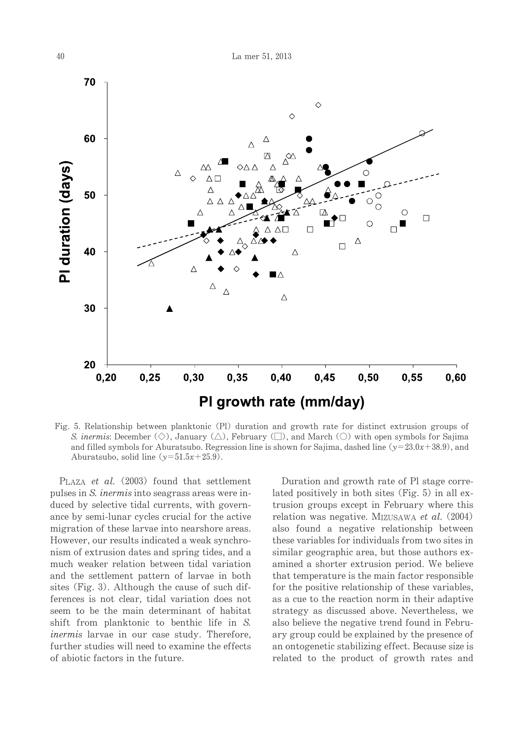

Fig. 5. Relationship between planktonic (Pl) duration and growth rate for distinct extrusion groups of S. inermis: December (◇), January (△), February (□), and March (○) with open symbols for Sajima and filled symbols for Aburatsubo. Regression line is shown for Sajima, dashed line ( $y=23.0x+38.9$ ), and Aburatsubo, solid line  $(y=51.5x+25.9)$ .

PLAZA et al.  $(2003)$  found that settlement pulses in S. inermis into seagrass areas were induced by selective tidal currents, with governance by semi-lunar cycles crucial for the active migration of these larvae into nearshore areas. However, our results indicated a weak synchronism of extrusion dates and spring tides, and a much weaker relation between tidal variation and the settlement pattern of larvae in both sites (Fig. 3). Although the cause of such differences is not clear, tidal variation does not seem to be the main determinant of habitat shift from planktonic to benthic life in S. *inermis* larvae in our case study. Therefore, further studies will need to examine the effects ofabioticfactorsinthefuture.

Duration and growth rate of Pl stage correlated positively in both sites (Fig.  $5$ ) in all extrusion groups except in February where this relation was negative. MIZUSAWA et al.  $(2004)$ also found a negative relationship between these variables for individuals from two sites in similar geographic area, but those authors examined a shorter extrusion period. We believe that temperature is the main factor responsible for the positive relationship of these variables, as a cue to the reaction norm in their adaptive strategy as discussed above. Nevertheless, we also believe the negative trend found in February group could be explained by the presence of an ontogenetic stabilizing effect. Because size is related to the product of growth rates and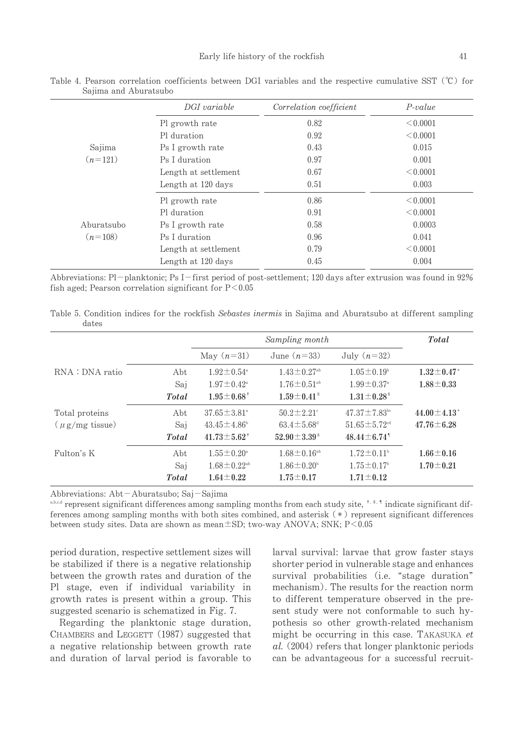|            | DGI variable         | Correlation coefficient | $P-value$ |
|------------|----------------------|-------------------------|-----------|
|            | Pl growth rate       | 0.82                    | < 0.0001  |
|            | Pl duration          | 0.92                    | < 0.0001  |
| Sajima     | Ps I growth rate     | 0.43                    | 0.015     |
| $(n=121)$  | Ps I duration        | 0.97                    | 0.001     |
|            | Length at settlement | 0.67                    | < 0.0001  |
|            | Length at 120 days   | 0.51                    | 0.003     |
|            | Pl growth rate       | 0.86                    | < 0.0001  |
|            | Pl duration          | 0.91                    | < 0.0001  |
| Aburatsubo | Ps I growth rate     | 0.58                    | 0.0003    |
| $(n=108)$  | Ps I duration        | 0.96                    | 0.041     |
|            | Length at settlement | 0.79                    | < 0.0001  |
|            | Length at 120 days   | 0.45                    | 0.004     |

Table 4. Pearson correlation coefficients between DGI variables and the respective cumulative SST (℃) for Sajima and Aburatsubo

Abbreviations: Pl-planktonic; Ps I-first period of post-settlement; 120 days after extrusion was found in 92% fish aged; Pearson correlation significant for  $P < 0.05$ 

Table 5. Condition indices for the rockfish Sebastes inermis in Sajima and Aburatsubo at different sampling dates

|                     |              |                               | <b>Total</b>                   |                                |                               |
|---------------------|--------------|-------------------------------|--------------------------------|--------------------------------|-------------------------------|
|                     |              | May $(n=31)$                  | June $(n=33)$                  | July $(n=32)$                  |                               |
| RNA : DNA ratio     | Abt          | $1.92 \pm 0.54^{\circ}$       | $1.43 \pm 0.27$ <sup>ab</sup>  | $1.05 \pm 0.19^{\circ}$        | $1.32 \pm 0.47^*$             |
|                     | Saj          | $1.97 \pm 0.42^{\circ}$       | $1.76 \pm 0.51$ <sup>ab</sup>  | $1.99 \pm 0.37^{\circ}$        | $1.88 \pm 0.33$               |
|                     | <b>Total</b> | $1.95 \pm 0.68^+$             | $1.59 \pm 0.41$ <sup>§</sup>   | $1.31 \pm 0.28$ <sup>\$</sup>  |                               |
| Total proteins      | Abt          | $37.65 \pm 3.81^{\circ}$      | $50.2 \pm 2.21$ <sup>c</sup>   | $47.37 \pm 7.83$ <sup>bc</sup> | $44.00 \pm 4.13$ <sup>*</sup> |
| $(\mu g/mg$ tissue) | Saj          | $43.45 \pm 4.86^{\circ}$      | $63.4 \pm 5.68^{\rm d}$        | $51.65 \pm 5.72$ <sup>cd</sup> | $47.76 \pm 6.28$              |
|                     | <b>Total</b> | $41.73 \pm 5.62^+$            | $52.90 \pm 3.39$ <sup>\$</sup> | $48.44 \pm 6.74$ <sup>1</sup>  |                               |
| Fulton's K          | Abt          | $1.55 \pm 0.20^{\circ}$       | $1.68 \pm 0.16$ <sup>ab</sup>  | $1.72 \pm 0.11$ <sup>b</sup>   | $1.66 \pm 0.16$               |
|                     | Saj          | $1.68 \pm 0.22$ <sup>ab</sup> | $1.86 \pm 0.20^{\circ}$        | $1.75 \pm 0.17$ <sup>b</sup>   | $1.70 \pm 0.21$               |
|                     | <b>Total</b> | $1.64 \pm 0.22$               | $1.75 \pm 0.17$                | $1.71 \pm 0.12$                |                               |

Abbreviations: Abt-Aburatsubo; Saj-Sajima

 $a, b, c, d$  represent significant differences among sampling months from each study site,  $\frac{1}{2}$ ,  $\frac{1}{2}$  indicate significant differences among sampling months with both sites combined, and asterisk  $(*)$  represent significant differences between study sites. Data are shown as mean $\pm$ SD; two-way ANOVA; SNK; P<0.05

period duration, respective settlement sizes will be stabilized if there is a negative relationship between the growth rates and duration of the Pl stage, even if individual variability in growth rates is present within a group. This suggested scenario is schematized in Fig. 7.

Regarding the planktonic stage duration, CHAMBERS and LEGGETT (1987) suggested that a negative relationship between growth rate and duration of larval period is favorable to larval survival: larvae that grow faster stays shorter period in vulnerable stage and enhances survival probabilities (i.e. "stage duration" mechanism). The results for the reaction norm to different temperature observed in the present study were not conformable to such hypothesis so other growth-related mechanism might be occurring in this case. TAKASUKA  $et$  $al.$  (2004) refers that longer planktonic periods can be advantageous for a successful recruit-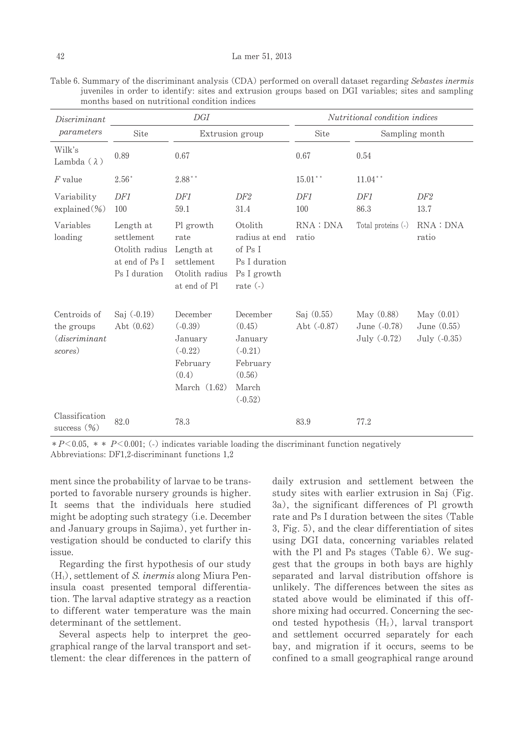| Discriminant                                            |                                                                              | DGI                                                                                  |                                                                                        | Nutritional condition indices |                                                |                                               |
|---------------------------------------------------------|------------------------------------------------------------------------------|--------------------------------------------------------------------------------------|----------------------------------------------------------------------------------------|-------------------------------|------------------------------------------------|-----------------------------------------------|
| parameters                                              | Site                                                                         | Extrusion group                                                                      |                                                                                        | Site                          | Sampling month                                 |                                               |
| Wilk's<br>Lambda $(\lambda)$                            | 0.89                                                                         | 0.67                                                                                 |                                                                                        | 0.67                          | 0.54                                           |                                               |
| $F$ value                                               | $2.56*$                                                                      | $2.88**$                                                                             |                                                                                        | $15.01***$                    | $11.04***$                                     |                                               |
| Variability<br>$explained (\%)$                         | DF1<br>100                                                                   | DF1<br>59.1                                                                          | DF <sub>2</sub><br>31.4                                                                | DF1<br>100                    | DF1<br>86.3                                    | DF2<br>13.7                                   |
| Variables<br>loading                                    | Length at<br>settlement<br>Otolith radius<br>at end of Ps I<br>Ps I duration | Pl growth<br>rate<br>Length at<br>settlement<br>Otolith radius<br>at end of Pl       | Otolith<br>radius at end<br>of Ps I<br>Ps I duration<br>Ps I growth<br>rate $($ - $)$  | RNA: DNA<br>ratio             | Total proteins (-)                             | RNA: DNA<br>ratio                             |
| Centroids of<br>the groups<br>(discriminant)<br>scores) | Saj $(-0.19)$<br>Abt $(0.62)$                                                | December<br>$(-0.39)$<br>January<br>$(-0.22)$<br>February<br>(0.4)<br>March $(1.62)$ | December<br>(0.45)<br>January<br>$(-0.21)$<br>February<br>(0.56)<br>March<br>$(-0.52)$ | Saj $(0.55)$<br>Abt (-0.87)   | May (0.88)<br>June $(-0.78)$<br>July $(-0.72)$ | May $(0.01)$<br>June $(0.55)$<br>July (-0.35) |
| Classification<br>success $(\%)$                        | 82.0                                                                         | 78.3                                                                                 |                                                                                        | 83.9                          | 77.2                                           |                                               |

Table 6. Summary of the discriminant analysis (CDA) performed on overall dataset regarding Sebastes inermis juveniles in order to identify: sites and extrusion groups based on DGI variables; sites and sampling months based on nutritional condition indices

 $*P<0.05$ ,  $*$   $*$  P $<$ 0.001; (-) indicates variable loading the discriminant function negatively Abbreviations: DF1,2-discriminant functions 1,2

ment since the probability of larvae to be transported to favorable nursery grounds is higher. It seems that the individuals here studied might be adopting such strategy (i.e. December and January groups in Sajima), yet further investigation should be conducted to clarify this issue.

Regarding the first hypothesis of our study  $(H<sub>1</sub>)$ , settlement of S. inermis along Miura Peninsula coast presented temporal differentiation. The larval adaptive strategy as a reaction to different water temperature was the main determinant of the settlement.

Several aspects help to interpret the geographical range of the larval transport and settlement: the clear differences in the pattern of daily extrusion and settlement between the study sites with earlier extrusion in Saj (Fig. 3a), the significant differences of Pl growth rate and Ps I duration between the sites (Table 3, Fig. 5), and the clear differentiation of sites using DGI data, concerning variables related with the Pl and Ps stages (Table  $6$ ). We suggest that the groups in both bays are highly separated and larval distribution offshore is unlikely. The differences between the sites as stated above would be eliminated if this offshore mixing had occurred. Concerning the second tested hypothesis  $(H_2)$ , larval transport and settlement occurred separately for each bay, and migration if it occurs, seems to be confined to a small geographical range around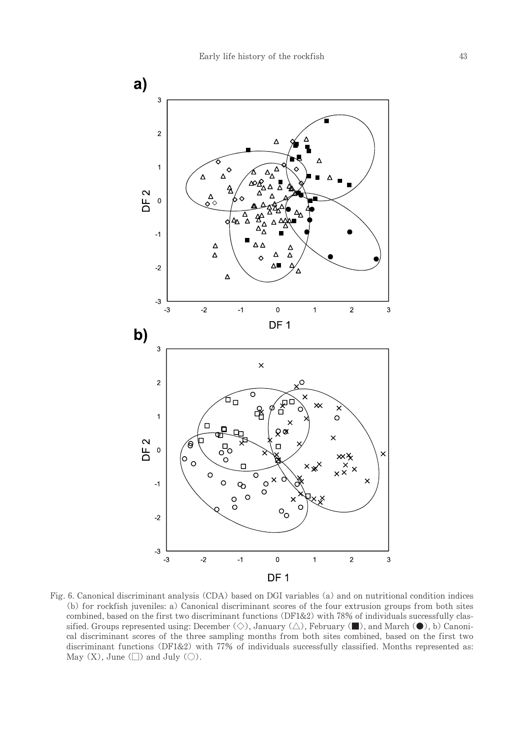

Fig. 6. Canonical discriminant analysis (CDA) based on DGI variables (a) and on nutritional condition indices (b) for rockfish juveniles: a) Canonical discriminant scores of the four extrusion groups from both sites combined, based on the first two discriminant functions (DF1&2) with 78% of individuals successfully classified. Groups represented using: December ( $\diamondsuit$ ), January ( $\triangle$ ), February ( $\blacksquare$ ), and March ( $\lozenge$ ), b) Canonical discriminant scores of the three sampling months from both sites combined, based on the first two discriminant functions (DF1&2) with  $77%$  of individuals successfully classified. Months represented as: May  $(X)$ , June  $(\Box)$  and July  $(\bigcirc)$ .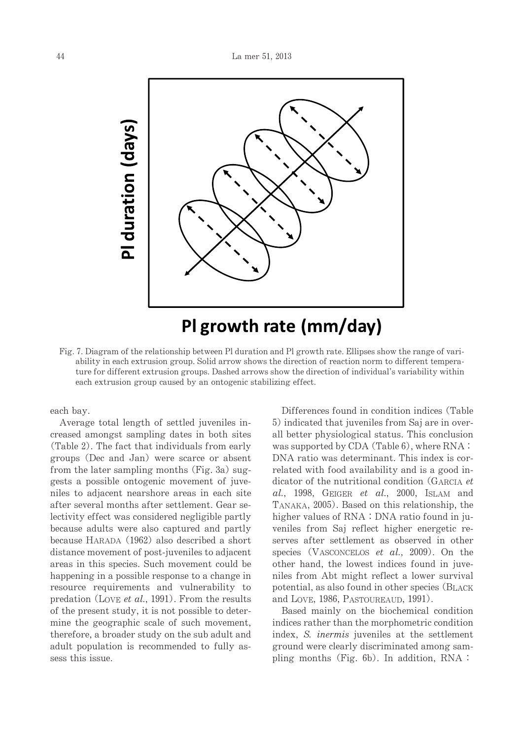

Fig. 7. Diagram of the relationship between Pl duration and Pl growth rate. Ellipses show the range of variability in each extrusion group. Solid arrow shows the direction of reaction norm to different temperature for different extrusion groups. Dashed arrows show the direction of individual's variability within each extrusion group caused by an ontogenic stabilizing effect.

each bay.

Average total length of settled juveniles increased amongst sampling dates in both sites (Table 2). The fact that individuals from early groups (Dec and Jan) were scarce or absent from the later sampling months (Fig. 3a) suggests a possible ontogenic movement of juveniles to adjacent nearshore areas in each site after several months after settlement. Gear selectivity effect was considered negligible partly because adults were also captured and partly because HARADA (1962) also described a short distance movement of post-juveniles to adjacent areas in this species. Such movement could be happening in a possible response to a change in resource requirements and vulnerability to predation (LOVE et al., 1991). From the results of the present study, it is not possible to determine the geographic scale of such movement, therefore, a broader study on the sub adult and adult population is recommended to fully assess this issue.

Differences found in condition indices (Table 5) indicated that juveniles from Saj are in overall better physiological status. This conclusion was supported by  $CDA$  (Table 6), where  $RNA:$ DNA ratio was determinant. This index is correlated with food availability and is a good indicator of the nutritional condition (GARCIA et  $al., 1998, GEIGER et al., 2000, ISLAM and$ TANAKA, 2005). Based on this relationship, the higher values of  $RNA:DNA$  ratio found in juveniles from Saj reflect higher energetic reserves after settlement as observed in other species (VASCONCELOS et al., 2009). On the other hand, the lowest indices found in juveniles from Abt might reflect a lower survival potential, as also found in other species (BLACK and LOVE, 1986, PASTOUREAUD, 1991).

Based mainly on the biochemical condition indices rather than the morphometric condition index, S. *inermis* juveniles at the settlement ground were clearly discriminated among sampling months (Fig.  $6b$ ). In addition, RNA: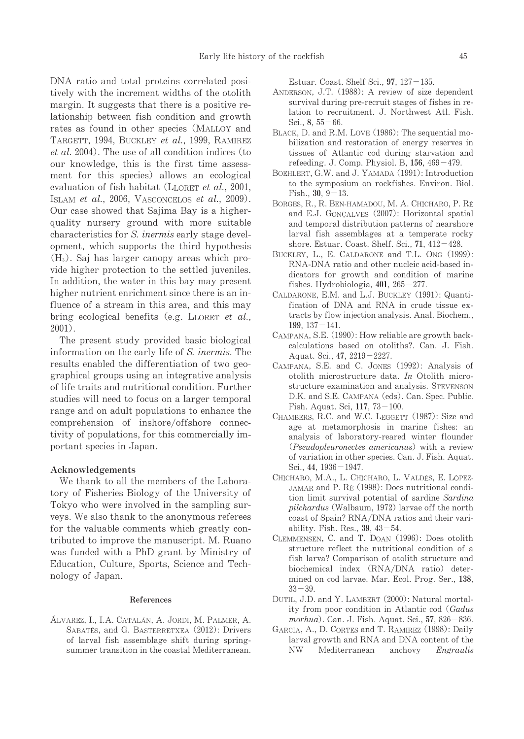DNA ratio and total proteins correlated positively with the increment widths of the otolith margin. It suggests that there is a positive relationship between fish condition and growth rates as found in other species (MALLOY and TARGETT, 1994, BUCKLEY et al., 1999, RAMIREZ et al. 2004). The use of all condition indices (to our knowledge, this is the first time assessment for this species) allows an ecological evaluation of fish habitat (LLORET *et al.*, 2001, ISLAM et al., 2006, VASCONCELOS et al., 2009). Our case showed that Sajima Bay is a higherquality nursery ground with more suitable characteristics for S. inermis early stage development, which supports the third hypothesis  $(H<sub>3</sub>)$ . Saj has larger canopy areas which provide higher protection to the settled juveniles. In addition, the water in this bay may present higher nutrient enrichment since there is an influence of a stream in this area, and this may bring ecological benefits (e.g. LLORET *et al.*, 2001).

The present study provided basic biological information on the early life of S. *inermis*. The results enabled the differentiation of two geographical groups using an integrative analysis of life traits and nutritional condition. Further studies will need to focus on a larger temporal range and on adult populations to enhance the comprehension of inshore/offshore connectivity of populations, for this commercially important species in Japan.

#### Acknowledgements

We thank to all the members of the Laboratory of Fisheries Biology of the University of Tokyo who were involved in the sampling surveys. We also thank to the anonymous referees for the valuable comments which greatly contributed to improve the manuscript. M. Ruano was funded with a PhD grant by Ministry of Education, Culture, Sports, Science and Technology of Japan.

#### References

ÁLVAREZ, I., I.A. CATALÁN, A. JORDI, M. PALMER, A. SABATÉS, and G. BASTERRETXEA (2012): Drivers of larval fish assemblage shift during springsummer transition in the coastal Mediterranean.

Estuar. Coast. Shelf Sci.,  $97, 127-135$ .

- ANDERSON, J.T. (1988): A review of size dependent survival during pre-recruit stages of fishes in relation to recruitment. J. Northwest Atl. Fish. Sci.,  $8,55-66$ .
- BLACK, D. and R.M. LOVE (1986): The sequential mobilization and restoration of energy reserves in tissues of Atlantic cod during starvation and refeeding. J. Comp. Physiol. B, 156, 469-479.
- BOEHLERT, G.W. and J. YAMADA (1991): Introduction to the symposium on rockfishes. Environ. Biol. Fish.,  $30, 9-13$ .
- BORGES, R., R. BEN-HAMADOU, M. A. CHICHARO, P. RE and E.J. GONCALVES (2007): Horizontal spatial and temporal distribution patterns of nearshore larval fish assemblages at a temperate rocky shore. Estuar. Coast. Shelf. Sci.,  $71$ ,  $412-428$ .
- BUCKLEY, L., E. CALDARONE and T.L. ONG (1999): RNA-DNA ratio and other nucleic acid-based indicators for growth and condition of marine fishes. Hydrobiologia,  $401, 265-277$ .
- CALDARONE, E.M. and L.J. BUCKLEY (1991): Quantification of DNA and RNA in crude tissue extracts by flow injection analysis. Anal. Biochem., 199,137-141.
- CAMPANA, S.E. (1990): How reliable are growth backcalculations based on otoliths?. Can. J. Fish. Aquat.Sci.,47,2219-2227.
- CAMPANA, S.E. and C. JONES (1992): Analysis of otolith microstructure data. In Otolith microstructure examination and analysis. STEVENSON D.K. and S.E. CAMPANA (eds). Can. Spec. Public. Fish.Aquat.Sci,117,73-100.
- CHAMBERS, R.C. and W.C. LEGGETT (1987): Size and age at metamorphosis in marine fishes: an analysis of laboratory-reared winter flounder (*Pseudopleuronectes americanus*) with a review of variation in other species. Can. J. Fish. Aquat. Sci.,44,1936-1947.
- CHÍCHARO, M.A., L. CHÍCHARO, L. VALDÉS, E. LOPEZ-JAMAR and P. RÉ (1998): Does nutritional condition limit survival potential of sardine Sardina  $pilchardus$  (Walbaum, 1972) larvae off the north coast of Spain? RNA/DNA ratios and their variability. Fish. Res.,  $39, 43-54$ .
- CLEMMENSEN, C. and T. DOAN (1996): Does otolith structure reflect the nutritional condition of a fish larva? Comparison of otolith structure and biochemical index(RNA/DNA ratio) determined on cod larvae. Mar. Ecol. Prog. Ser., 138,  $33 - 39.$
- DUTIL, J.D. and Y. LAMBERT (2000): Natural mortality from poor condition in Atlantic cod (Gadus  $morhua)$ . Can. J. Fish. Aquat. Sci., 57, 826-836.
- GARCIA, A., D. CORTES and T. RAMIREZ (1998): Daily larval growth and RNA and DNA content of the NW Mediterranean anchovy Engraulis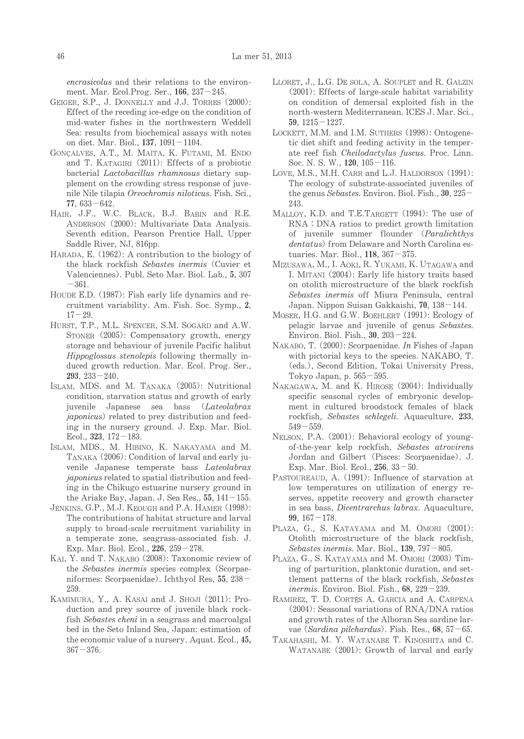encrasicolus and their relations to the environment. Mar. Ecol.Prog. Ser., 166, 237-245.

- GEIGER, S.P., J. DONNELLY and J.J. TORRES (2000): Effect of the receding ice-edge on the condition of mid-water fishes in the northwestern Weddell Sea: results from biochemical assays with notes on diet. Mar. Biol., 137, 1091-1104.
- GONÇALVES, A.T., M. MAITA, K. FUTAMI, M. ENDO and T. KATAGIRI (2011): Effects of a probiotic bacterial Lactobacillus rhamnosus dietary supplement on the crowding stress response of juvenile Nile tilapia Oreochromis niloticus. Fish. Sci.,  $77,633-642.$
- HAIR, J.F., W.C. BLACK, B.J. BABIN and R.E. ANDERSON (2000): Multivariate Data Analysis. Seventh edition, Pearson Prentice Hall, Upper Saddle River, NJ, 816pp.
- HARADA, E. (1962): A contribution to the biology of the black rockfish Sebastes inermis (Cuvier et Valenciennes). Publ. Seto Mar. Biol. Lab., 5, 307  $-361.$
- HOUDE E.D. (1987): Fish early life dynamics and recruitment variability. Am. Fish. Soc. Symp., 2,  $17 - 29.$
- HURST, T.P., M.L. SPENCER, S.M. SOGARD and A.W. STONER (2005): Compensatory growth, energy storage and behaviour of juvenile Pacific halibut Hippoglossus stenolepis following thermally induced growth reduction. Mar. Ecol. Prog. Ser.,  $293, 233 - 240.$
- ISLAM, MDS. and M. TANAKA (2005): Nutritional condition, starvation status and growth of early juvenile Japanese sea bass (Lateolabrax japonicus) related to prey distribution and feeding in the nursery ground. J. Exp. Mar. Biol. Ecol.,  $323$ ,  $172-183$ .
- ISLAM, MDS., M. HIBINO, K. NAKAYAMA and M. TANAKA (2006): Condition of larval and early juvenile Japanese temperate bass Lateolabrax japonicus related to spatial distribution and feeding in the Chikugo estuarine nursery ground in the Ariake Bay, Japan. J. Sea Res.,  $55$ ,  $141-155$ .
- JENKINS, G.P., M.J. KEOUGH and P.A. HAMER (1998): The contributions of habitat structure and larval supply to broad-scale recruitment variability in a temperate zone, seagrass-associated fish. J. Exp. Mar. Biol. Ecol.,  $226$ ,  $259-278$ .
- KAI, Y. and T. NAKABO (2008): Taxonomic review of the Sebastes inermis species complex (Scorpaeniformes: Scorpaenidae). Ichthyol Res, 55, 238-259.
- KAMIMURA, Y., A. KASAI and J. SHOJI (2011): Production and prey source of juvenile black rockfish Sebastes cheni in a seagrass and macroalgal bed in the Seto Inland Sea, Japan: estimation of the economic value of a nursery. Aquat. Ecol., 45,  $367 - 376$ .
- LLORET, J., L.G. DE SOLA, A. SOUPLET and R. GALZIN  $(2001)$ : Effects of large-scale habitat variability on condition of demersal exploited fish in the north-western Mediterranean. ICES J. Mar. Sci., 59,1215-1227.
- LOCKETT, M.M. and I.M. SUTHERS (1998): Ontogenetic diet shift and feeding activity in the temperate reef fish Cheilodactylus fuscus. Proc. Linn. Soc. N. S. W., 120, 105-116.
- LOVE, M.S., M.H. CARR and L.J. HALDORSON (1991): The ecology of substrate-associated juveniles of the genus Sebastes. Environ. Biol. Fish.,  $30,225-$ 243.
- MALLOY, K.D. and T.E.TARGETT (1994): The use of RNA: DNA ratios to predict growth limitation of juvenile summer flounder (Paralichthys dentatus) from Delaware and North Carolina estuaries. Mar. Biol.,  $118$ ,  $367 - 375$ .
- MIZUSAWA, M., I. AOKI, R. YUKAMI, K. UTAGAWA and I. MITANI (2004): Early life history traits based on otolith microstructure of the black rockfish Sebastes inermis off Miura Peninsula, central Japan. Nippon Suisan Gakkaishi, 70, 138-144.
- MOSER, H.G. and G.W. BOEHLERT (1991): Ecology of pelagic larvae and juvenile of genus Sebastes. Environ.Biol.Fish.,30,203-224.
- NAKABO, T. (2000): Scorpaenidae. In Fishes of Japan with pictorial keys to the species. NAKABO, T. (eds.), Second Edition, Tokai University Press, Tokyo Japan, p.  $565-595$ .
- NAKAGAWA, M. and K. HIROSE (2004): Individually specific seasonal cycles of embryonic development in cultured broodstock females of black rockfish, Sebastes schlegeli. Aquaculture, 233,  $549 - 559$
- NELSON, P.A. (2001): Behavioral ecology of youngof-the-year kelp rockfish, Sebastes atrovirens Jordan and Gilbert (Pisces: Scorpaenidae). J. Exp. Mar. Biol. Ecol.,  $256$ ,  $33-50$ .
- PASTOUREAUD, A. (1991): Influence of starvation at low temperatures on utilization of energy reserves, appetite recovery and growth character in sea bass, *Dicentrarchus labrax*. Aquaculture, 99,167-178.
- PLAZA, G., S. KATAYAMA and M. OMORI (2001): Otolith microstructure of the black rockfish, Sebastes inermis. Mar. Biol.,  $139,797-805$ .
- PLAZA, G., S. KATAYAMA and M. OMORI (2003) Timing of parturition, planktonic duration, and settlement patterns of the black rockfish, Sebastes inermis. Environ. Biol. Fish.,  $68$ ,  $229-239$ .
- RAMIREZ, T. D. CORTÉS A. GARCIA and A. CARPENA  $(2004)$ : Seasonal variations of RNA/DNA ratios and growth rates of the Alboran Sea sardine larvae (Sardina pilchardus). Fish. Res.,  $68$ ,  $57-65$ .
- TAKAHASHI, M. Y. WATANABE T. KINOSHITA and C. WATANABE (2001): Growth of larval and early